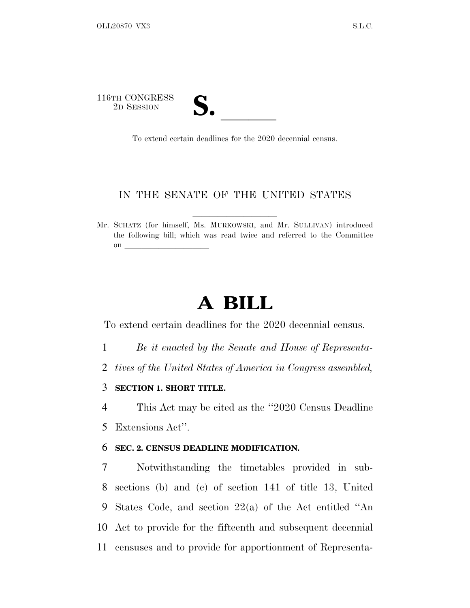116TH CONGRESS TH CONGRESS<br>
2D SESSION<br>
To extend certain deadlines for the 2020 decennial census.

## IN THE SENATE OF THE UNITED STATES

Mr. SCHATZ (for himself, Ms. MURKOWSKI, and Mr. SULLIVAN) introduced the following bill; which was read twice and referred to the Committee on  $\overline{\qquad \qquad }$ 

## **A BILL**

To extend certain deadlines for the 2020 decennial census.

- 1 *Be it enacted by the Senate and House of Representa-*
- 2 *tives of the United States of America in Congress assembled,*

3 **SECTION 1. SHORT TITLE.**

4 This Act may be cited as the ''2020 Census Deadline 5 Extensions Act''.

## 6 **SEC. 2. CENSUS DEADLINE MODIFICATION.**

 Notwithstanding the timetables provided in sub- sections (b) and (c) of section 141 of title 13, United States Code, and section 22(a) of the Act entitled ''An Act to provide for the fifteenth and subsequent decennial censuses and to provide for apportionment of Representa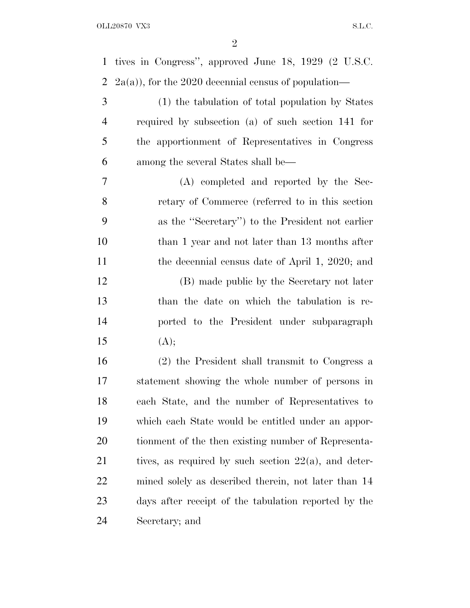| $\mathbf{1}$   | tives in Congress", approved June 18, 1929 (2 U.S.C.     |
|----------------|----------------------------------------------------------|
| 2              | $(2a(a))$ , for the 2020 decennial census of population— |
| 3              | (1) the tabulation of total population by States         |
| $\overline{4}$ | required by subsection (a) of such section 141 for       |
| 5              | the apportionment of Representatives in Congress         |
| 6              | among the several States shall be—                       |
| 7              | (A) completed and reported by the Sec-                   |
| 8              | retary of Commerce (referred to in this section          |
| 9              | as the "Secretary") to the President not earlier         |
| 10             | than 1 year and not later than 13 months after           |
| 11             | the decennial census date of April 1, 2020; and          |
| 12             | (B) made public by the Secretary not later               |
| 13             | than the date on which the tabulation is re-             |
| 14             | ported to the President under subparagraph               |
| 15             | (A);                                                     |
| 16             | (2) the President shall transmit to Congress a           |
| 17             | statement showing the whole number of persons in         |
| 18             | each State, and the number of Representatives to         |
| 19             | which each State would be entitled under an appor-       |
| 20             | tionment of the then existing number of Representa-      |
| 21             | tives, as required by such section $22(a)$ , and deter-  |
| 22             | mined solely as described therein, not later than 14     |
| 23             | days after receipt of the tabulation reported by the     |
| 24             | Secretary; and                                           |